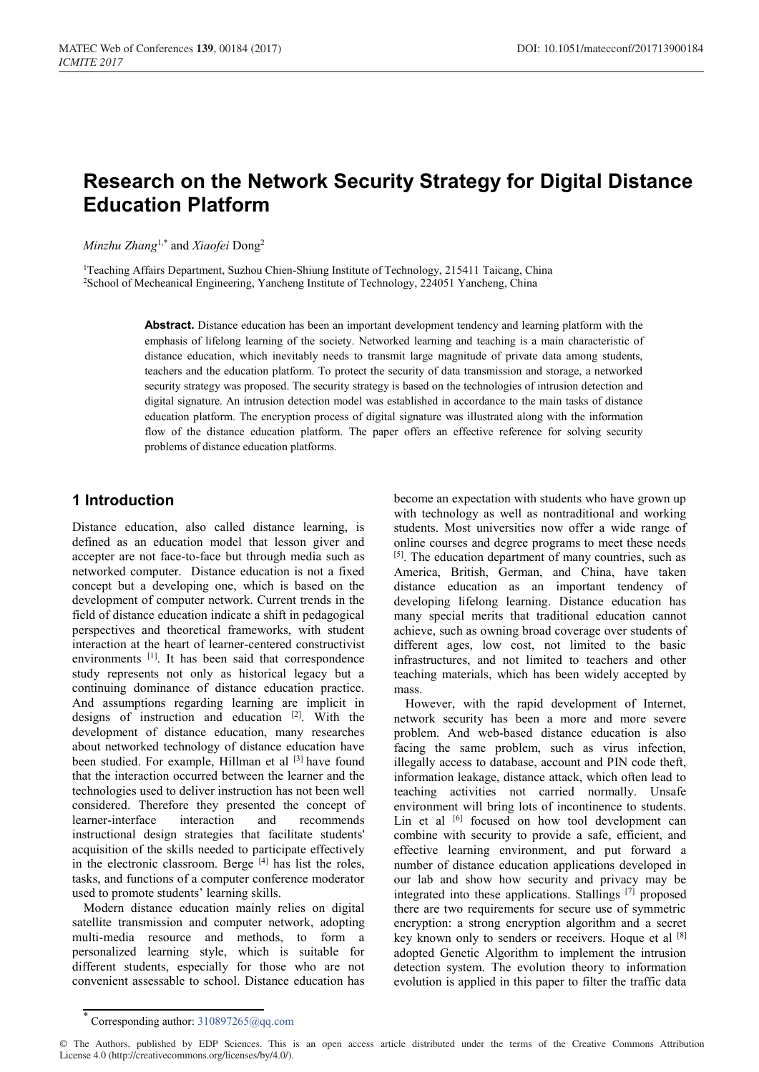# **Research on the Network Security Strategy for Digital Distance Education Platform**

*Minzhu Zhang*1,\* and *Xiaofei* Dong2

<sup>1</sup>Teaching Affairs Department, Suzhou Chien-Shiung Institute of Technology, 215411 Taicang, China 2School of Mecheanical Engineering, Yancheng Institute of Technology, 224051 Yancheng, China

> **Abstract.** Distance education has been an important development tendency and learning platform with the emphasis of lifelong learning of the society. Networked learning and teaching is a main characteristic of distance education, which inevitably needs to transmit large magnitude of private data among students, teachers and the education platform. To protect the security of data transmission and storage, a networked security strategy was proposed. The security strategy is based on the technologies of intrusion detection and digital signature. An intrusion detection model was established in accordance to the main tasks of distance education platform. The encryption process of digital signature was illustrated along with the information flow of the distance education platform. The paper offers an effective reference for solving security problems of distance education platforms.

### **1 Introduction**

Distance education, also called distance learning, is defined as an education model that lesson giver and accepter are not face-to-face but through media such as networked computer. Distance education is not a fixed concept but a developing one, which is based on the development of computer network. Current trends in the field of distance education indicate a shift in pedagogical perspectives and theoretical frameworks, with student interaction at the heart of learner-centered constructivist environments [1]. It has been said that correspondence study represents not only as historical legacy but a continuing dominance of distance education practice. And assumptions regarding learning are implicit in designs of instruction and education [2] . With the development of distance education, many researches about networked technology of distance education have been studied. For example, Hillman et al <sup>[3]</sup> have found that the interaction occurred between the learner and the technologies used to deliver instruction has not been well considered. Therefore they presented the concept of learner-interface interaction and recommends instructional design strategies that facilitate students' acquisition of the skills needed to participate effectively in the electronic classroom. Berge  $[4]$  has list the roles, tasks, and functions of a computer conference moderator used to promote students' learning skills.

Modern distance education mainly relies on digital satellite transmission and computer network, adopting multi-media resource and methods, to form a personalized learning style, which is suitable for different students, especially for those who are not convenient assessable to school. Distance education has become an expectation with students who have grown up with technology as well as nontraditional and working students. Most universities now offer a wide range of online courses and degree programs to meet these needs [5]. The education department of many countries, such as America, British, German, and China, have taken distance education as an important tendency of developing lifelong learning. Distance education has many special merits that traditional education cannot achieve, such as owning broad coverage over students of different ages, low cost, not limited to the basic infrastructures, and not limited to teachers and other teaching materials, which has been widely accepted by mass.

However, with the rapid development of Internet, network security has been a more and more severe problem. And web-based distance education is also facing the same problem, such as virus infection, illegally access to database, account and PIN code theft, information leakage, distance attack, which often lead to teaching activities not carried normally. Unsafe environment will bring lots of incontinence to students. Lin et al <a>[6]</a> focused on how tool development can combine with security to provide a safe, efficient, and effective learning environment, and put forward a number of distance education applications developed in our lab and show how security and privacy may be integrated into these applications. Stallings [7] proposed there are two requirements for secure use of symmetric encryption: a strong encryption algorithm and a secret key known only to senders or receivers. Hoque et al [8] adopted Genetic Algorithm to implement the intrusion detection system. The evolution theory to information evolution is applied in this paper to filter the traffic data

<sup>\*</sup> Corresponding author: 310897265@qq.com

<sup>©</sup> The Authors, published by EDP Sciences. This is an open access article distributed under the terms of the Creative Commons Attribution License 4.0 (http://creativecommons.org/licenses/by/4.0/).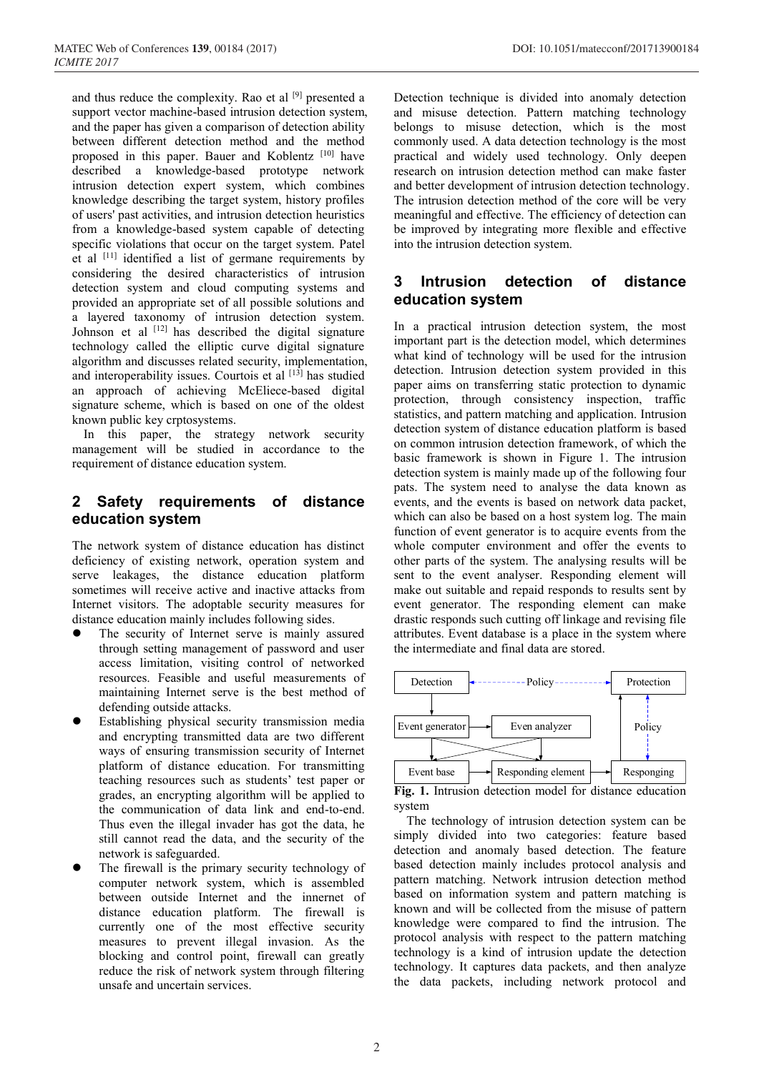and thus reduce the complexity. Rao et al [9] presented a support vector machine-based intrusion detection system, and the paper has given a comparison of detection ability between different detection method and the method proposed in this paper. Bauer and Koblentz [10] have described a knowledge-based prototype network intrusion detection expert system, which combines knowledge describing the target system, history profiles of users' past activities, and intrusion detection heuristics from a knowledge-based system capable of detecting specific violations that occur on the target system. Patel et al  $[11]$  identified a list of germane requirements by considering the desired characteristics of intrusion detection system and cloud computing systems and provided an appropriate set of all possible solutions and a layered taxonomy of intrusion detection system. Johnson et al  $[12]$  has described the digital signature technology called the elliptic curve digital signature algorithm and discusses related security, implementation, and interoperability issues. Courtois et al  $[13]$  has studied an approach of achieving McEliece-based digital signature scheme, which is based on one of the oldest known public key crptosystems.

In this paper, the strategy network security management will be studied in accordance to the requirement of distance education system.

## **2 Safety requirements of distance education system**

The network system of distance education has distinct deficiency of existing network, operation system and serve leakages, the distance education platform sometimes will receive active and inactive attacks from Internet visitors. The adoptable security measures for distance education mainly includes following sides.

- The security of Internet serve is mainly assured through setting management of password and user access limitation, visiting control of networked resources. Feasible and useful measurements of maintaining Internet serve is the best method of defending outside attacks.
- Establishing physical security transmission media and encrypting transmitted data are two different ways of ensuring transmission security of Internet platform of distance education. For transmitting teaching resources such as students' test paper or grades, an encrypting algorithm will be applied to the communication of data link and end-to-end. Thus even the illegal invader has got the data, he still cannot read the data, and the security of the network is safeguarded.
- The firewall is the primary security technology of computer network system, which is assembled between outside Internet and the innernet of distance education platform. The firewall is currently one of the most effective security measures to prevent illegal invasion. As the blocking and control point, firewall can greatly reduce the risk of network system through filtering unsafe and uncertain services.

Detection technique is divided into anomaly detection and misuse detection. Pattern matching technology belongs to misuse detection, which is the most commonly used. A data detection technology is the most practical and widely used technology. Only deepen research on intrusion detection method can make faster and better development of intrusion detection technology. The intrusion detection method of the core will be very meaningful and effective. The efficiency of detection can be improved by integrating more flexible and effective into the intrusion detection system.

### **3 Intrusion detection of distance education system**

In a practical intrusion detection system, the most important part is the detection model, which determines what kind of technology will be used for the intrusion detection. Intrusion detection system provided in this paper aims on transferring static protection to dynamic protection, through consistency inspection, traffic statistics, and pattern matching and application. Intrusion detection system of distance education platform is based on common intrusion detection framework, of which the basic framework is shown in Figure 1. The intrusion detection system is mainly made up of the following four pats. The system need to analyse the data known as events, and the events is based on network data packet, which can also be based on a host system log. The main function of event generator is to acquire events from the whole computer environment and offer the events to other parts of the system. The analysing results will be sent to the event analyser. Responding element will make out suitable and repaid responds to results sent by event generator. The responding element can make drastic responds such cutting off linkage and revising file attributes. Event database is a place in the system where the intermediate and final data are stored.



**Fig. 1.** Intrusion detection model for distance education system

The technology of intrusion detection system can be simply divided into two categories: feature based detection and anomaly based detection. The feature based detection mainly includes protocol analysis and pattern matching. Network intrusion detection method based on information system and pattern matching is known and will be collected from the misuse of pattern knowledge were compared to find the intrusion. The protocol analysis with respect to the pattern matching technology is a kind of intrusion update the detection technology. It captures data packets, and then analyze the data packets, including network protocol and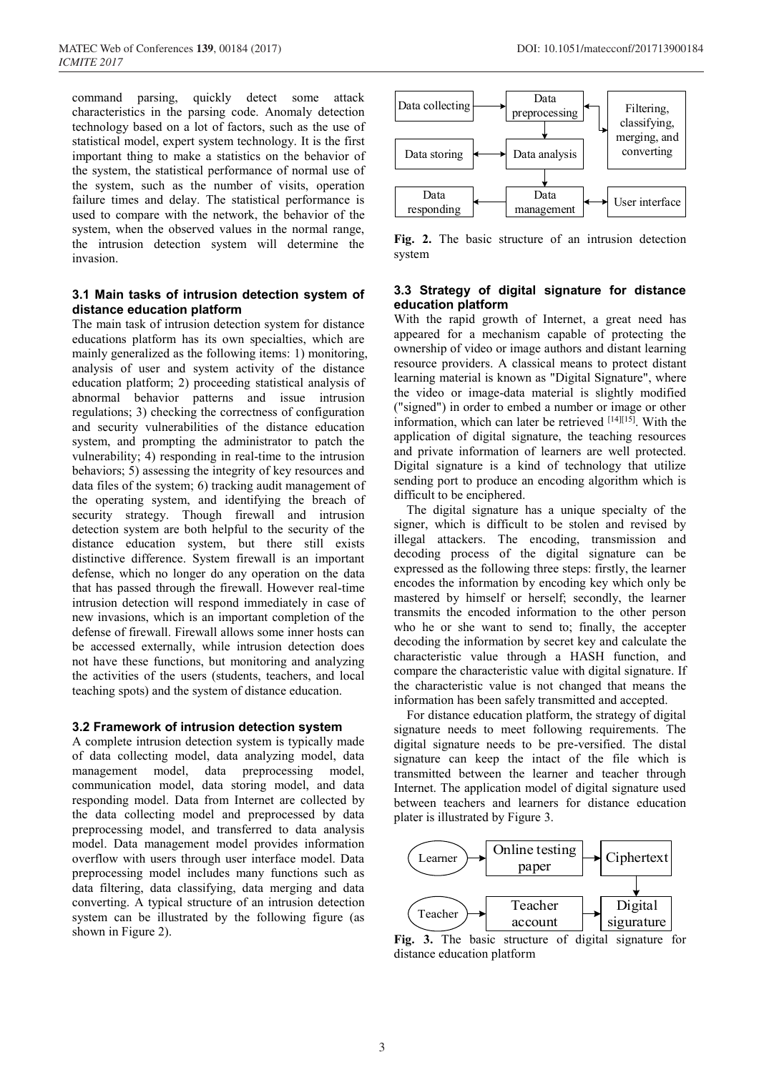command parsing, quickly detect some attack characteristics in the parsing code. Anomaly detection technology based on a lot of factors, such as the use of statistical model, expert system technology. It is the first important thing to make a statistics on the behavior of the system, the statistical performance of normal use of the system, such as the number of visits, operation failure times and delay. The statistical performance is used to compare with the network, the behavior of the system, when the observed values in the normal range, the intrusion detection system will determine the invasion.

#### **3.1 Main tasks of intrusion detection system of distance education platform**

The main task of intrusion detection system for distance educations platform has its own specialties, which are mainly generalized as the following items: 1) monitoring, analysis of user and system activity of the distance education platform; 2) proceeding statistical analysis of abnormal behavior patterns and issue intrusion regulations; 3) checking the correctness of configuration and security vulnerabilities of the distance education system, and prompting the administrator to patch the vulnerability; 4) responding in real-time to the intrusion behaviors; 5) assessing the integrity of key resources and data files of the system; 6) tracking audit management of the operating system, and identifying the breach of security strategy. Though firewall and intrusion detection system are both helpful to the security of the distance education system, but there still exists distinctive difference. System firewall is an important defense, which no longer do any operation on the data that has passed through the firewall. However real-time intrusion detection will respond immediately in case of new invasions, which is an important completion of the defense of firewall. Firewall allows some inner hosts can be accessed externally, while intrusion detection does not have these functions, but monitoring and analyzing the activities of the users (students, teachers, and local teaching spots) and the system of distance education.

#### **3.2 Framework of intrusion detection system**

A complete intrusion detection system is typically made of data collecting model, data analyzing model, data management model, data preprocessing model, communication model, data storing model, and data responding model. Data from Internet are collected by the data collecting model and preprocessed by data preprocessing model, and transferred to data analysis model. Data management model provides information overflow with users through user interface model. Data preprocessing model includes many functions such as data filtering, data classifying, data merging and data converting. A typical structure of an intrusion detection system can be illustrated by the following figure (as shown in Figure 2).



**Fig. 2.** The basic structure of an intrusion detection system

#### **3.3 Strategy of digital signature for distance education platform**

With the rapid growth of Internet, a great need has appeared for a mechanism capable of protecting the ownership of video or image authors and distant learning resource providers. A classical means to protect distant learning material is known as "Digital Signature", where the video or image-data material is slightly modified ("signed") in order to embed a number or image or other information, which can later be retrieved [14][15]. With the application of digital signature, the teaching resources and private information of learners are well protected. Digital signature is a kind of technology that utilize sending port to produce an encoding algorithm which is difficult to be enciphered.

The digital signature has a unique specialty of the signer, which is difficult to be stolen and revised by illegal attackers. The encoding, transmission and decoding process of the digital signature can be expressed as the following three steps: firstly, the learner encodes the information by encoding key which only be mastered by himself or herself; secondly, the learner transmits the encoded information to the other person who he or she want to send to; finally, the accepter decoding the information by secret key and calculate the characteristic value through a HASH function, and compare the characteristic value with digital signature. If the characteristic value is not changed that means the information has been safely transmitted and accepted.

 For distance education platform, the strategy of digital signature needs to meet following requirements. The digital signature needs to be pre-versified. The distal signature can keep the intact of the file which is transmitted between the learner and teacher through Internet. The application model of digital signature used between teachers and learners for distance education plater is illustrated by Figure 3.



**Fig. 3.** The basic structure of digital signature for distance education platform